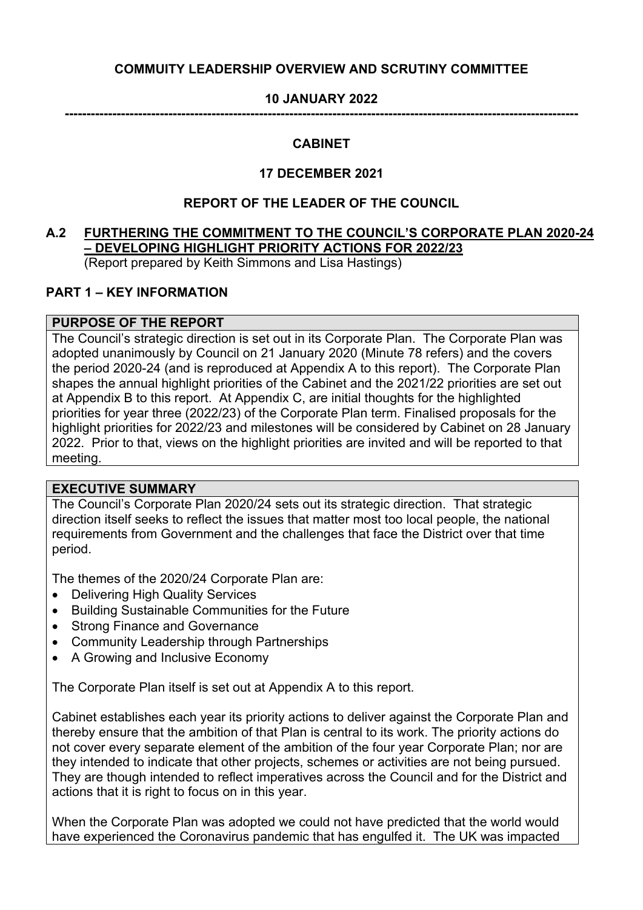# **COMMUITY LEADERSHIP OVERVIEW AND SCRUTINY COMMITTEE**

## **10 JANUARY 2022**

**-----------------------------------------------------------------------------------------------------------------------**

### **CABINET**

## **17 DECEMBER 2021**

### **REPORT OF THE LEADER OF THE COUNCIL**

### **A.2 FURTHERING THE COMMITMENT TO THE COUNCIL'S CORPORATE PLAN 2020-24 – DEVELOPING HIGHLIGHT PRIORITY ACTIONS FOR 2022/23** (Report prepared by Keith Simmons and Lisa Hastings)

# **PART 1 – KEY INFORMATION**

## **PURPOSE OF THE REPORT**

The Council's strategic direction is set out in its Corporate Plan. The Corporate Plan was adopted unanimously by Council on 21 January 2020 (Minute 78 refers) and the covers the period 2020-24 (and is reproduced at Appendix A to this report). The Corporate Plan shapes the annual highlight priorities of the Cabinet and the 2021/22 priorities are set out at Appendix B to this report. At Appendix C, are initial thoughts for the highlighted priorities for year three (2022/23) of the Corporate Plan term. Finalised proposals for the highlight priorities for 2022/23 and milestones will be considered by Cabinet on 28 January 2022. Prior to that, views on the highlight priorities are invited and will be reported to that meeting.

#### **EXECUTIVE SUMMARY**

The Council's Corporate Plan 2020/24 sets out its strategic direction. That strategic direction itself seeks to reflect the issues that matter most too local people, the national requirements from Government and the challenges that face the District over that time period.

The themes of the 2020/24 Corporate Plan are:

- Delivering High Quality Services
- Building Sustainable Communities for the Future
- Strong Finance and Governance
- Community Leadership through Partnerships
- A Growing and Inclusive Economy

The Corporate Plan itself is set out at Appendix A to this report.

Cabinet establishes each year its priority actions to deliver against the Corporate Plan and thereby ensure that the ambition of that Plan is central to its work. The priority actions do not cover every separate element of the ambition of the four year Corporate Plan; nor are they intended to indicate that other projects, schemes or activities are not being pursued. They are though intended to reflect imperatives across the Council and for the District and actions that it is right to focus on in this year.

When the Corporate Plan was adopted we could not have predicted that the world would have experienced the Coronavirus pandemic that has engulfed it. The UK was impacted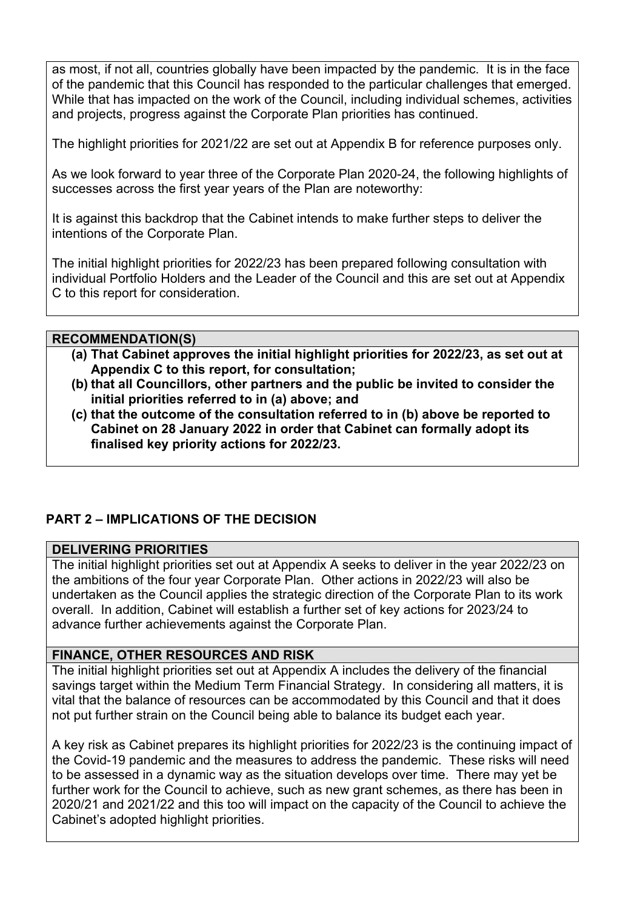as most, if not all, countries globally have been impacted by the pandemic. It is in the face of the pandemic that this Council has responded to the particular challenges that emerged. While that has impacted on the work of the Council, including individual schemes, activities and projects, progress against the Corporate Plan priorities has continued.

The highlight priorities for 2021/22 are set out at Appendix B for reference purposes only.

As we look forward to year three of the Corporate Plan 2020-24, the following highlights of successes across the first year years of the Plan are noteworthy:

It is against this backdrop that the Cabinet intends to make further steps to deliver the intentions of the Corporate Plan.

The initial highlight priorities for 2022/23 has been prepared following consultation with individual Portfolio Holders and the Leader of the Council and this are set out at Appendix C to this report for consideration.

## **RECOMMENDATION(S)**

- **(a) That Cabinet approves the initial highlight priorities for 2022/23, as set out at Appendix C to this report, for consultation;**
- **(b) that all Councillors, other partners and the public be invited to consider the initial priorities referred to in (a) above; and**
- **(c) that the outcome of the consultation referred to in (b) above be reported to Cabinet on 28 January 2022 in order that Cabinet can formally adopt its finalised key priority actions for 2022/23.**

# **PART 2 – IMPLICATIONS OF THE DECISION**

## **DELIVERING PRIORITIES**

The initial highlight priorities set out at Appendix A seeks to deliver in the year 2022/23 on the ambitions of the four year Corporate Plan. Other actions in 2022/23 will also be undertaken as the Council applies the strategic direction of the Corporate Plan to its work overall. In addition, Cabinet will establish a further set of key actions for 2023/24 to advance further achievements against the Corporate Plan.

# **FINANCE, OTHER RESOURCES AND RISK**

The initial highlight priorities set out at Appendix A includes the delivery of the financial savings target within the Medium Term Financial Strategy. In considering all matters, it is vital that the balance of resources can be accommodated by this Council and that it does not put further strain on the Council being able to balance its budget each year.

A key risk as Cabinet prepares its highlight priorities for 2022/23 is the continuing impact of the Covid-19 pandemic and the measures to address the pandemic. These risks will need to be assessed in a dynamic way as the situation develops over time. There may yet be further work for the Council to achieve, such as new grant schemes, as there has been in 2020/21 and 2021/22 and this too will impact on the capacity of the Council to achieve the Cabinet's adopted highlight priorities.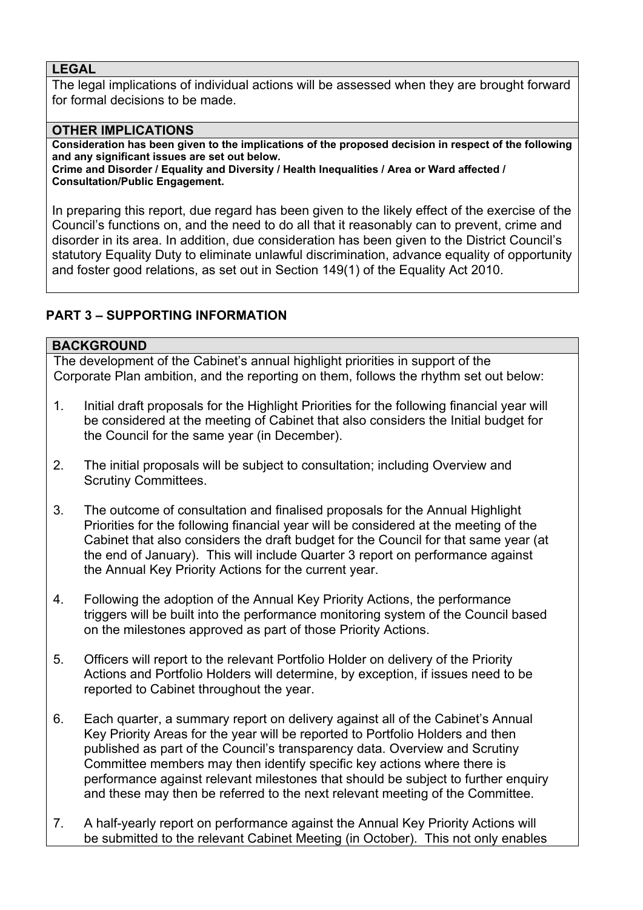## **LEGAL**

The legal implications of individual actions will be assessed when they are brought forward for formal decisions to be made.

## **OTHER IMPLICATIONS**

**Consideration has been given to the implications of the proposed decision in respect of the following and any significant issues are set out below.**

**Crime and Disorder / Equality and Diversity / Health Inequalities / Area or Ward affected / Consultation/Public Engagement.**

In preparing this report, due regard has been given to the likely effect of the exercise of the Council's functions on, and the need to do all that it reasonably can to prevent, crime and disorder in its area. In addition, due consideration has been given to the District Council's statutory Equality Duty to eliminate unlawful discrimination, advance equality of opportunity and foster good relations, as set out in Section 149(1) of the Equality Act 2010.

# **PART 3 – SUPPORTING INFORMATION**

## **BACKGROUND**

The development of the Cabinet's annual highlight priorities in support of the Corporate Plan ambition, and the reporting on them, follows the rhythm set out below:

- 1. Initial draft proposals for the Highlight Priorities for the following financial year will be considered at the meeting of Cabinet that also considers the Initial budget for the Council for the same year (in December).
- 2. The initial proposals will be subject to consultation; including Overview and Scrutiny Committees.
- 3. The outcome of consultation and finalised proposals for the Annual Highlight Priorities for the following financial year will be considered at the meeting of the Cabinet that also considers the draft budget for the Council for that same year (at the end of January). This will include Quarter 3 report on performance against the Annual Key Priority Actions for the current year.
- 4. Following the adoption of the Annual Key Priority Actions, the performance triggers will be built into the performance monitoring system of the Council based on the milestones approved as part of those Priority Actions.
- 5. Officers will report to the relevant Portfolio Holder on delivery of the Priority Actions and Portfolio Holders will determine, by exception, if issues need to be reported to Cabinet throughout the year.
- 6. Each quarter, a summary report on delivery against all of the Cabinet's Annual Key Priority Areas for the year will be reported to Portfolio Holders and then published as part of the Council's transparency data. Overview and Scrutiny Committee members may then identify specific key actions where there is performance against relevant milestones that should be subject to further enquiry and these may then be referred to the next relevant meeting of the Committee.
- 7. A half-yearly report on performance against the Annual Key Priority Actions will be submitted to the relevant Cabinet Meeting (in October). This not only enables